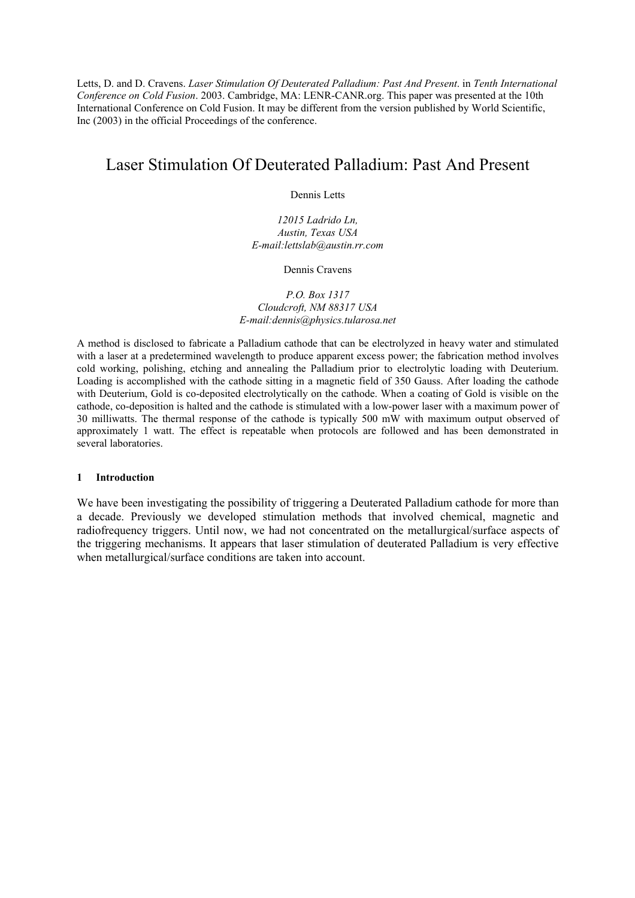Letts, D. and D. Cravens. *Laser Stimulation Of Deuterated Palladium: Past And Present*. in *Tenth International Conference on Cold Fusion*. 2003. Cambridge, MA: LENR-CANR.org. This paper was presented at the 10th International Conference on Cold Fusion. It may be different from the version published by World Scientific, Inc (2003) in the official Proceedings of the conference.

# Laser Stimulation Of Deuterated Palladium: Past And Present

Dennis Letts

*12015 Ladrido Ln, Austin, Texas USA E-mail:lettslab@austin.rr.com* 

Dennis Cravens

# *P.O. Box 1317 Cloudcroft, NM 88317 USA E-mail:dennis@physics.tularosa.net*

A method is disclosed to fabricate a Palladium cathode that can be electrolyzed in heavy water and stimulated with a laser at a predetermined wavelength to produce apparent excess power; the fabrication method involves cold working, polishing, etching and annealing the Palladium prior to electrolytic loading with Deuterium. Loading is accomplished with the cathode sitting in a magnetic field of 350 Gauss. After loading the cathode with Deuterium, Gold is co-deposited electrolytically on the cathode. When a coating of Gold is visible on the cathode, co-deposition is halted and the cathode is stimulated with a low-power laser with a maximum power of 30 milliwatts. The thermal response of the cathode is typically 500 mW with maximum output observed of approximately 1 watt. The effect is repeatable when protocols are followed and has been demonstrated in several laboratories.

# **1 Introduction**

We have been investigating the possibility of triggering a Deuterated Palladium cathode for more than a decade. Previously we developed stimulation methods that involved chemical, magnetic and radiofrequency triggers. Until now, we had not concentrated on the metallurgical/surface aspects of the triggering mechanisms. It appears that laser stimulation of deuterated Palladium is very effective when metallurgical/surface conditions are taken into account.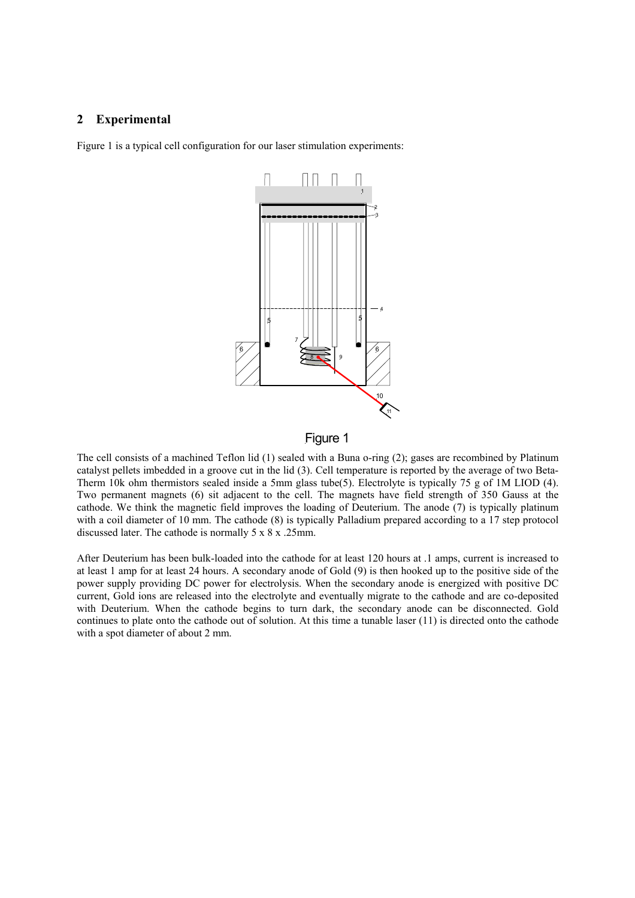# **2 Experimental**

Figure 1 is a typical cell configuration for our laser stimulation experiments:



# Figure 1

The cell consists of a machined Teflon lid (1) sealed with a Buna o-ring (2); gases are recombined by Platinum catalyst pellets imbedded in a groove cut in the lid (3). Cell temperature is reported by the average of two Beta-Therm 10k ohm thermistors sealed inside a 5mm glass tube(5). Electrolyte is typically 75 g of 1M LIOD (4). Two permanent magnets (6) sit adjacent to the cell. The magnets have field strength of 350 Gauss at the cathode. We think the magnetic field improves the loading of Deuterium. The anode (7) is typically platinum with a coil diameter of 10 mm. The cathode (8) is typically Palladium prepared according to a 17 step protocol discussed later. The cathode is normally 5 x 8 x .25mm.

After Deuterium has been bulk-loaded into the cathode for at least 120 hours at .1 amps, current is increased to at least 1 amp for at least 24 hours. A secondary anode of Gold (9) is then hooked up to the positive side of the power supply providing DC power for electrolysis. When the secondary anode is energized with positive DC current, Gold ions are released into the electrolyte and eventually migrate to the cathode and are co-deposited with Deuterium. When the cathode begins to turn dark, the secondary anode can be disconnected. Gold continues to plate onto the cathode out of solution. At this time a tunable laser (11) is directed onto the cathode with a spot diameter of about 2 mm.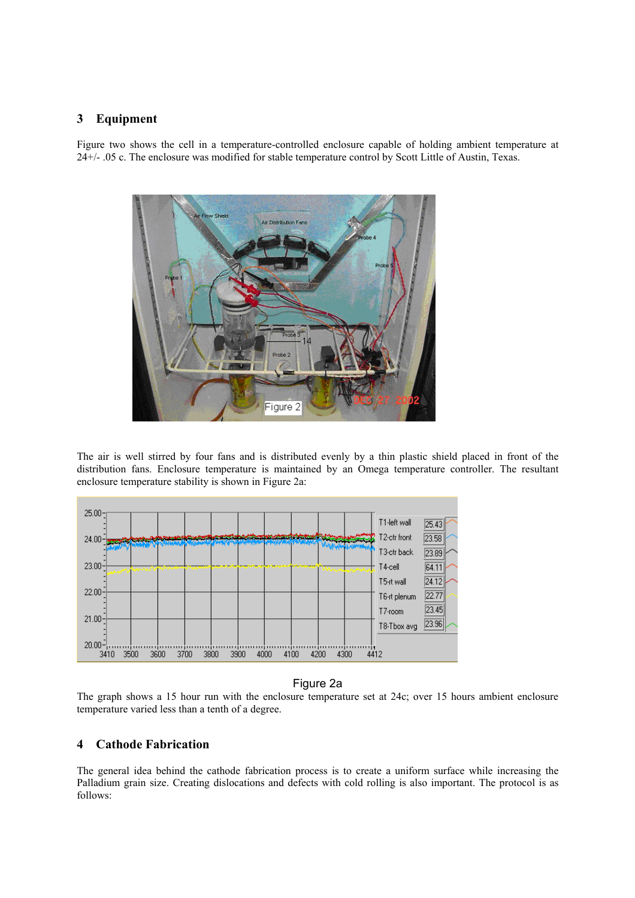# **3 Equipment**

Figure two shows the cell in a temperature-controlled enclosure capable of holding ambient temperature at 24+/- .05 c. The enclosure was modified for stable temperature control by Scott Little of Austin, Texas.



The air is well stirred by four fans and is distributed evenly by a thin plastic shield placed in front of the distribution fans. Enclosure temperature is maintained by an Omega temperature controller. The resultant enclosure temperature stability is shown in Figure 2a:



# Figure 2a

The graph shows a 15 hour run with the enclosure temperature set at 24c; over 15 hours ambient enclosure temperature varied less than a tenth of a degree.

# **4 Cathode Fabrication**

The general idea behind the cathode fabrication process is to create a uniform surface while increasing the Palladium grain size. Creating dislocations and defects with cold rolling is also important. The protocol is as follows: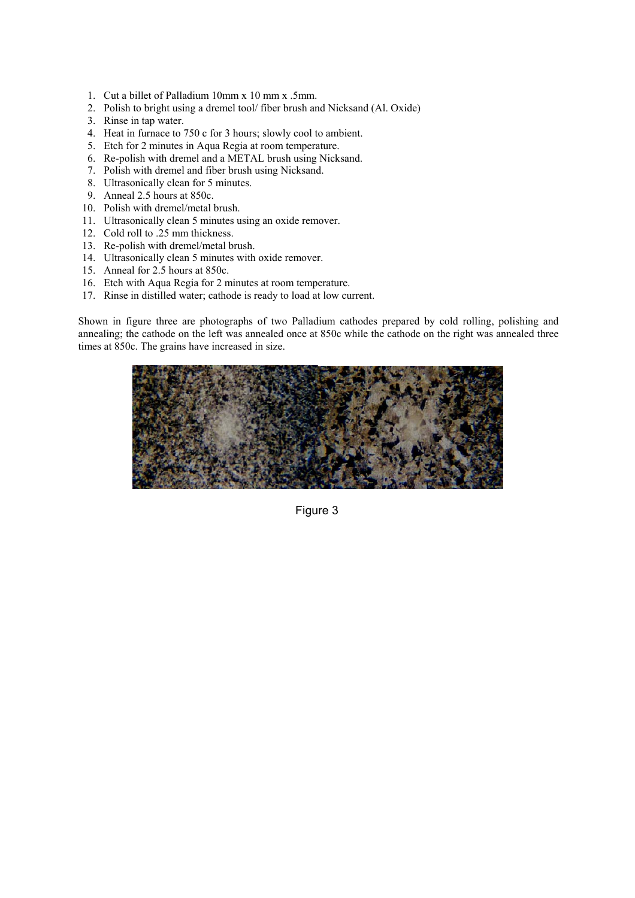- 1. Cut a billet of Palladium 10mm x 10 mm x .5mm.
- 2. Polish to bright using a dremel tool/ fiber brush and Nicksand (Al. Oxide)
- 3. Rinse in tap water.
- 4. Heat in furnace to 750 c for 3 hours; slowly cool to ambient.
- 5. Etch for 2 minutes in Aqua Regia at room temperature.
- 6. Re-polish with dremel and a METAL brush using Nicksand.
- 7. Polish with dremel and fiber brush using Nicksand.
- 8. Ultrasonically clean for 5 minutes.
- 9. Anneal 2.5 hours at 850c.
- 10. Polish with dremel/metal brush.
- 11. Ultrasonically clean 5 minutes using an oxide remover.
- 12. Cold roll to .25 mm thickness.
- 13. Re-polish with dremel/metal brush.
- 14. Ultrasonically clean 5 minutes with oxide remover.
- 15. Anneal for 2.5 hours at 850c.
- 16. Etch with Aqua Regia for 2 minutes at room temperature.
- 17. Rinse in distilled water; cathode is ready to load at low current.

Shown in figure three are photographs of two Palladium cathodes prepared by cold rolling, polishing and annealing; the cathode on the left was annealed once at 850c while the cathode on the right was annealed three times at 850c. The grains have increased in size.



Figure 3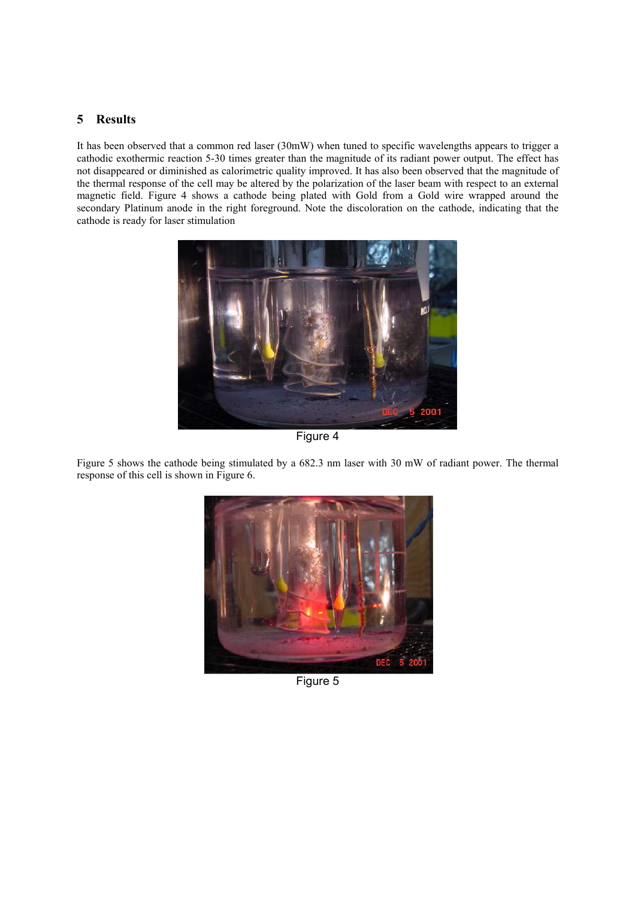# **5 Results**

It has been observed that a common red laser (30mW) when tuned to specific wavelengths appears to trigger a cathodic exothermic reaction 5-30 times greater than the magnitude of its radiant power output. The effect has not disappeared or diminished as calorimetric quality improved. It has also been observed that the magnitude of the thermal response of the cell may be altered by the polarization of the laser beam with respect to an external magnetic field. Figure 4 shows a cathode being plated with Gold from a Gold wire wrapped around the secondary Platinum anode in the right foreground. Note the discoloration on the cathode, indicating that the cathode is ready for laser stimulation



Figure 4

Figure 5 shows the cathode being stimulated by a 682.3 nm laser with 30 mW of radiant power. The thermal response of this cell is shown in Figure 6.



Figure 5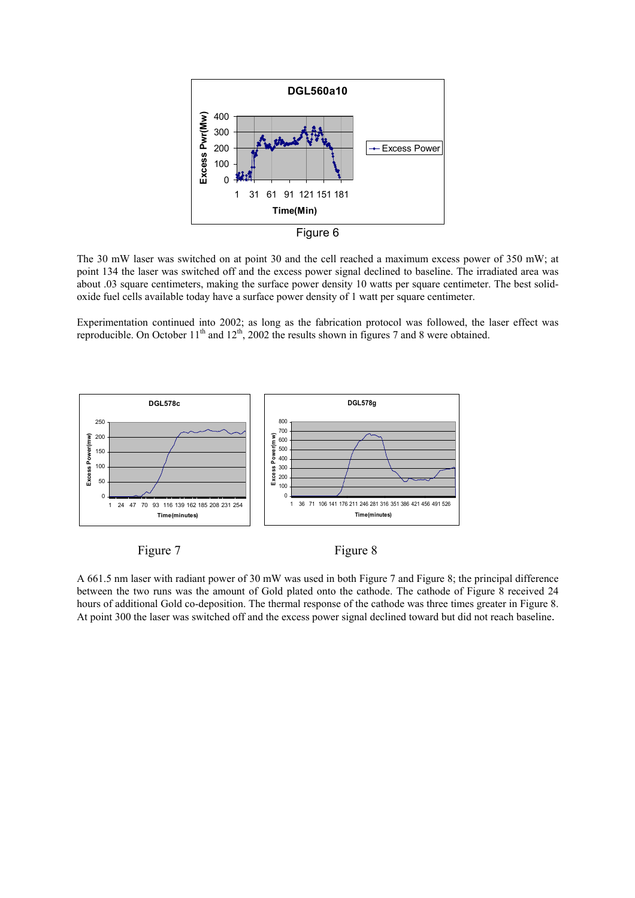

Figure 6

The 30 mW laser was switched on at point 30 and the cell reached a maximum excess power of 350 mW; at point 134 the laser was switched off and the excess power signal declined to baseline. The irradiated area was about .03 square centimeters, making the surface power density 10 watts per square centimeter. The best solidoxide fuel cells available today have a surface power density of 1 watt per square centimeter.

Experimentation continued into 2002; as long as the fabrication protocol was followed, the laser effect was reproducible. On October  $11<sup>th</sup>$  and  $12<sup>th</sup>$ , 2002 the results shown in figures 7 and 8 were obtained.



Figure 7 Figure 8

A 661.5 nm laser with radiant power of 30 mW was used in both Figure 7 and Figure 8; the principal difference between the two runs was the amount of Gold plated onto the cathode. The cathode of Figure 8 received 24 hours of additional Gold co-deposition. The thermal response of the cathode was three times greater in Figure 8. At point 300 the laser was switched off and the excess power signal declined toward but did not reach baseline.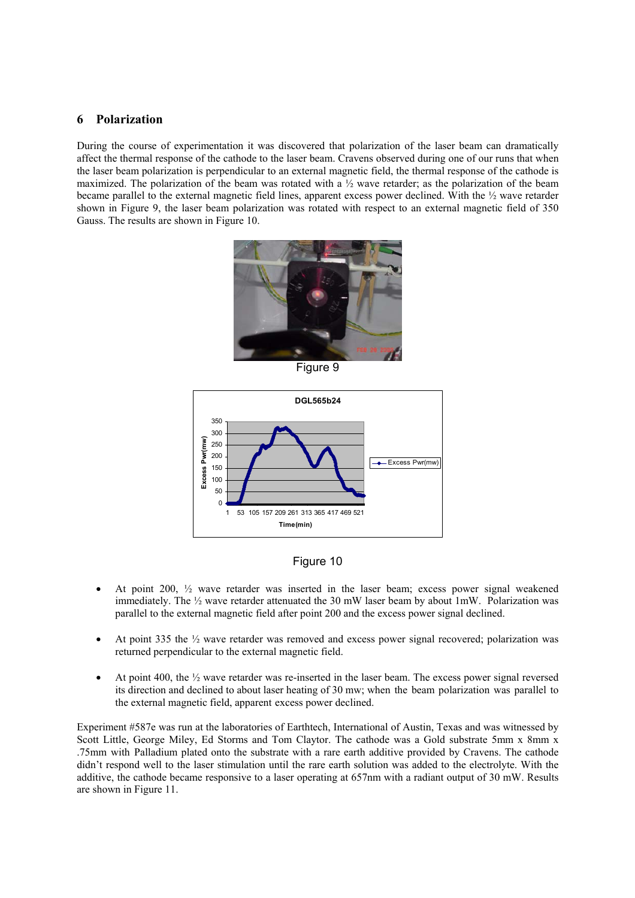# **6 Polarization**

During the course of experimentation it was discovered that polarization of the laser beam can dramatically affect the thermal response of the cathode to the laser beam. Cravens observed during one of our runs that when the laser beam polarization is perpendicular to an external magnetic field, the thermal response of the cathode is maximized. The polarization of the beam was rotated with a  $\frac{1}{2}$  wave retarder; as the polarization of the beam became parallel to the external magnetic field lines, apparent excess power declined. With the ½ wave retarder shown in Figure 9, the laser beam polarization was rotated with respect to an external magnetic field of 350 Gauss. The results are shown in Figure 10.



Figure 9





- At point 200, ½ wave retarder was inserted in the laser beam; excess power signal weakened immediately. The ½ wave retarder attenuated the 30 mW laser beam by about 1mW. Polarization was parallel to the external magnetic field after point 200 and the excess power signal declined.
- At point 335 the  $\frac{1}{2}$  wave retarder was removed and excess power signal recovered; polarization was returned perpendicular to the external magnetic field.
- At point 400, the ½ wave retarder was re-inserted in the laser beam. The excess power signal reversed its direction and declined to about laser heating of 30 mw; when the beam polarization was parallel to the external magnetic field, apparent excess power declined.

Experiment #587e was run at the laboratories of Earthtech, International of Austin, Texas and was witnessed by Scott Little, George Miley, Ed Storms and Tom Claytor. The cathode was a Gold substrate 5mm x 8mm x .75mm with Palladium plated onto the substrate with a rare earth additive provided by Cravens. The cathode didn't respond well to the laser stimulation until the rare earth solution was added to the electrolyte. With the additive, the cathode became responsive to a laser operating at 657nm with a radiant output of 30 mW. Results are shown in Figure 11.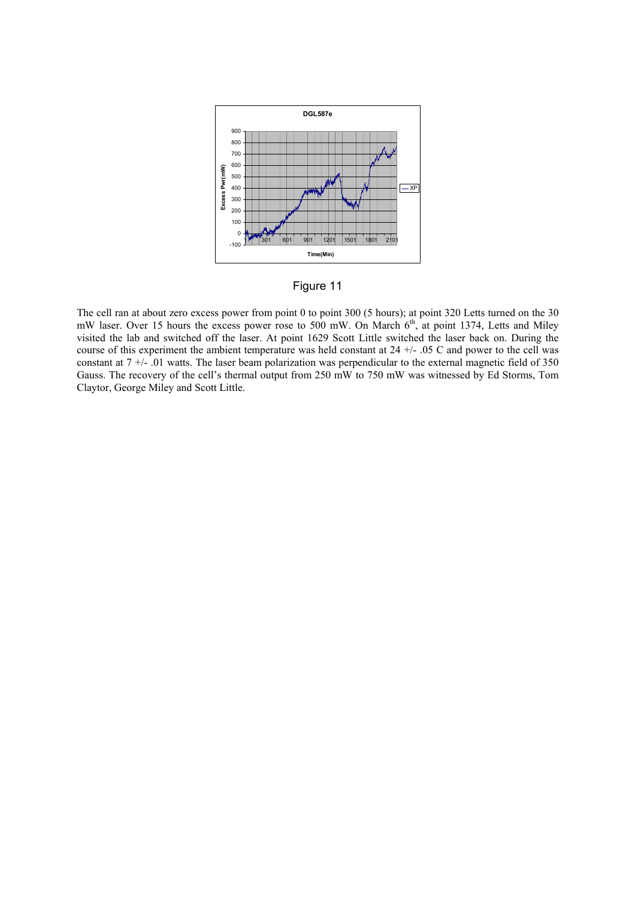

Figure 11

The cell ran at about zero excess power from point 0 to point 300 (5 hours); at point 320 Letts turned on the 30 mW laser. Over 15 hours the excess power rose to 500 mW. On March 6<sup>th</sup>, at point 1374, Letts and Miley visited the lab and switched off the laser. At point 1629 Scott Little switched the laser back on. During the course of this experiment the ambient temperature was held constant at 24 +/- .05 C and power to the cell was constant at 7 +/- .01 watts. The laser beam polarization was perpendicular to the external magnetic field of 350 Gauss. The recovery of the cell's thermal output from 250 mW to 750 mW was witnessed by Ed Storms, Tom Claytor, George Miley and Scott Little.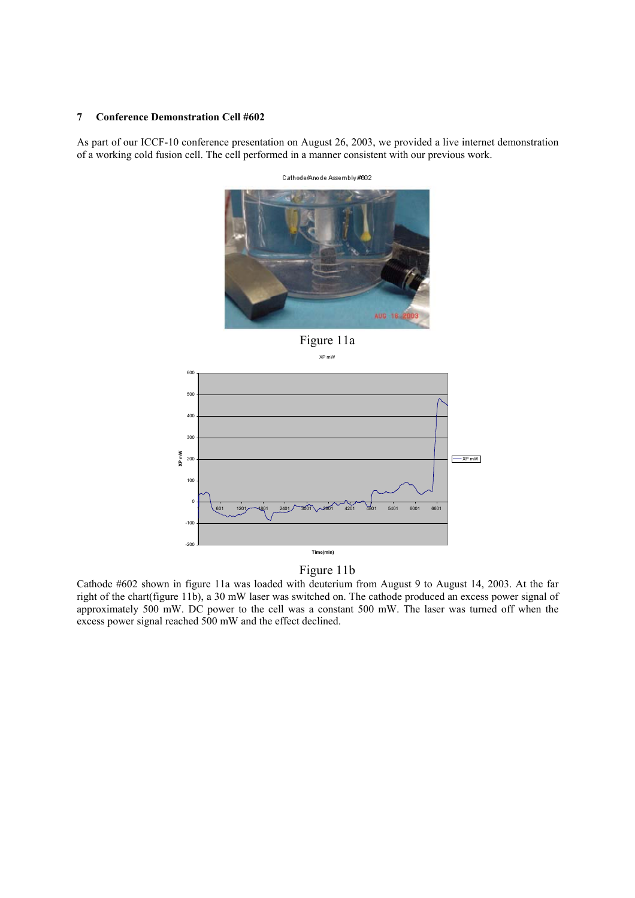#### **7 Conference Demonstration Cell #602**

As part of our ICCF-10 conference presentation on August 26, 2003, we provided a live internet demonstration of a working cold fusion cell. The cell performed in a manner consistent with our previous work.



Cathode/Anode Assembly#602

Figure 11a XP mW



# Figure 11b

Cathode #602 shown in figure 11a was loaded with deuterium from August 9 to August 14, 2003. At the far right of the chart(figure 11b), a 30 mW laser was switched on. The cathode produced an excess power signal of approximately 500 mW. DC power to the cell was a constant 500 mW. The laser was turned off when the excess power signal reached 500 mW and the effect declined.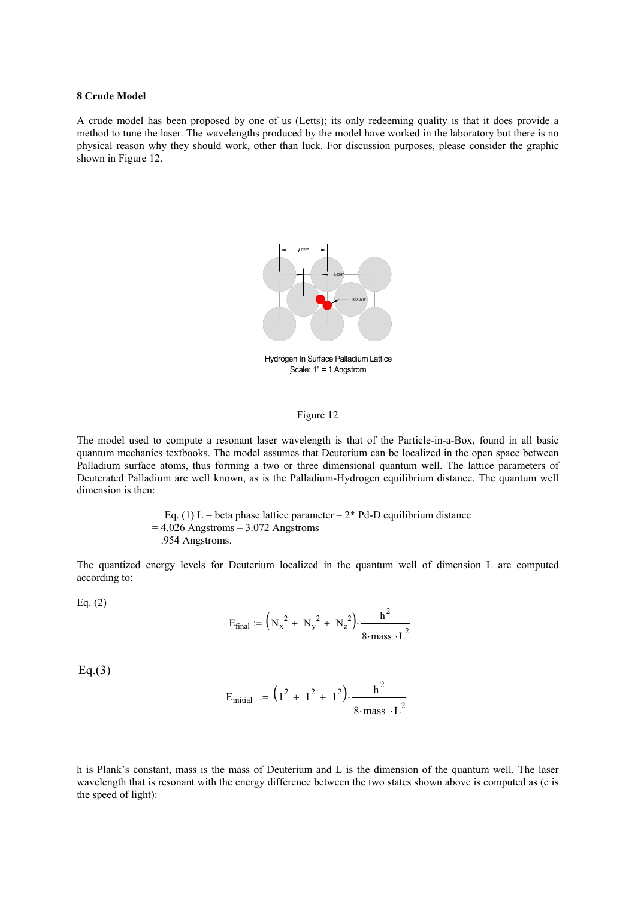#### **8 Crude Model**

A crude model has been proposed by one of us (Letts); its only redeeming quality is that it does provide a method to tune the laser. The wavelengths produced by the model have worked in the laboratory but there is no physical reason why they should work, other than luck. For discussion purposes, please consider the graphic shown in Figure 12.



Hydrogen In Surface Palladium Lattice Scale: 1" = 1 Angstrom

### Figure 12

The model used to compute a resonant laser wavelength is that of the Particle-in-a-Box, found in all basic quantum mechanics textbooks. The model assumes that Deuterium can be localized in the open space between Palladium surface atoms, thus forming a two or three dimensional quantum well. The lattice parameters of Deuterated Palladium are well known, as is the Palladium-Hydrogen equilibrium distance. The quantum well dimension is then:

> Eq. (1) L = beta phase lattice parameter  $-2^*$  Pd-D equilibrium distance  $= 4.026$  Angstroms – 3.072 Angstroms = .954 Angstroms.

The quantized energy levels for Deuterium localized in the quantum well of dimension L are computed according to:

Eq.  $(2)$ 

$$
E_{\text{final}} := (N_x^2 + N_y^2 + N_z^2) \cdot \frac{h^2}{8 \cdot \text{mass} \cdot L^2}
$$

 $Eq.(3)$ 

$$
E_{initial} := (1^2 + 1^2 + 1^2) \cdot \frac{h^2}{8 \cdot \text{mass} \cdot L^2}
$$

h is Plank's constant, mass is the mass of Deuterium and L is the dimension of the quantum well. The laser wavelength that is resonant with the energy difference between the two states shown above is computed as (c is the speed of light):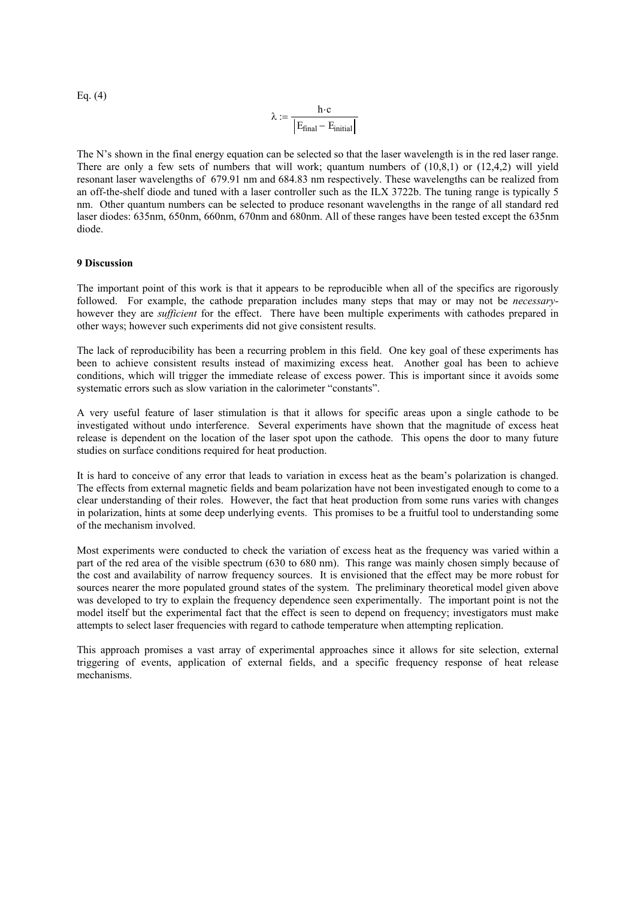Eq. (4)  

$$
\lambda := \frac{h \cdot c}{|E_{\text{final}} - E_{\text{initial}}|}
$$

The N's shown in the final energy equation can be selected so that the laser wavelength is in the red laser range. There are only a few sets of numbers that will work; quantum numbers of  $(10,8,1)$  or  $(12,4,2)$  will yield resonant laser wavelengths of 679.91 nm and 684.83 nm respectively. These wavelengths can be realized from an off-the-shelf diode and tuned with a laser controller such as the ILX 3722b. The tuning range is typically 5 nm. Other quantum numbers can be selected to produce resonant wavelengths in the range of all standard red laser diodes: 635nm, 650nm, 660nm, 670nm and 680nm. All of these ranges have been tested except the 635nm diode.

### **9 Discussion**

The important point of this work is that it appears to be reproducible when all of the specifics are rigorously followed. For example, the cathode preparation includes many steps that may or may not be *necessary*however they are *sufficient* for the effect. There have been multiple experiments with cathodes prepared in other ways; however such experiments did not give consistent results.

The lack of reproducibility has been a recurring problem in this field. One key goal of these experiments has been to achieve consistent results instead of maximizing excess heat. Another goal has been to achieve conditions, which will trigger the immediate release of excess power. This is important since it avoids some systematic errors such as slow variation in the calorimeter "constants".

A very useful feature of laser stimulation is that it allows for specific areas upon a single cathode to be investigated without undo interference. Several experiments have shown that the magnitude of excess heat release is dependent on the location of the laser spot upon the cathode. This opens the door to many future studies on surface conditions required for heat production.

It is hard to conceive of any error that leads to variation in excess heat as the beam's polarization is changed. The effects from external magnetic fields and beam polarization have not been investigated enough to come to a clear understanding of their roles. However, the fact that heat production from some runs varies with changes in polarization, hints at some deep underlying events. This promises to be a fruitful tool to understanding some of the mechanism involved.

Most experiments were conducted to check the variation of excess heat as the frequency was varied within a part of the red area of the visible spectrum (630 to 680 nm). This range was mainly chosen simply because of the cost and availability of narrow frequency sources. It is envisioned that the effect may be more robust for sources nearer the more populated ground states of the system. The preliminary theoretical model given above was developed to try to explain the frequency dependence seen experimentally. The important point is not the model itself but the experimental fact that the effect is seen to depend on frequency; investigators must make attempts to select laser frequencies with regard to cathode temperature when attempting replication.

This approach promises a vast array of experimental approaches since it allows for site selection, external triggering of events, application of external fields, and a specific frequency response of heat release mechanisms.